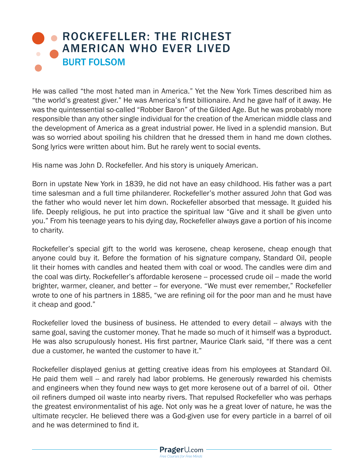## **• ROCKEFELLER: THE RICHEST** AMERICAN WHO EVER LIVED BURT FOLSOM

He was called "the most hated man in America." Yet the New York Times described him as "the world's greatest giver." He was America's first billionaire. And he gave half of it away. He was the quintessential so-called "Robber Baron" of the Gilded Age. But he was probably more responsible than any other single individual for the creation of the American middle class and the development of America as a great industrial power. He lived in a splendid mansion. But was so worried about spoiling his children that he dressed them in hand me down clothes. Song lyrics were written about him. But he rarely went to social events.

His name was John D. Rockefeller. And his story is uniquely American.

Born in upstate New York in 1839, he did not have an easy childhood. His father was a part time salesman and a full time philanderer. Rockefeller's mother assured John that God was the father who would never let him down. Rockefeller absorbed that message. It guided his life. Deeply religious, he put into practice the spiritual law "Give and it shall be given unto you." From his teenage years to his dying day, Rockefeller always gave a portion of his income to charity.

Rockefeller's special gift to the world was kerosene, cheap kerosene, cheap enough that anyone could buy it. Before the formation of his signature company, Standard Oil, people lit their homes with candles and heated them with coal or wood. The candles were dim and the coal was dirty. Rockefeller's affordable kerosene -- processed crude oil -- made the world brighter, warmer, cleaner, and better -- for everyone. "We must ever remember," Rockefeller wrote to one of his partners in 1885, "we are refining oil for the poor man and he must have it cheap and good."

Rockefeller loved the business of business. He attended to every detail -- always with the same goal, saving the customer money. That he made so much of it himself was a byproduct. He was also scrupulously honest. His first partner, Maurice Clark said, "If there was a cent due a customer, he wanted the customer to have it."

Rockefeller displayed genius at getting creative ideas from his employees at Standard Oil. He paid them well -- and rarely had labor problems. He generously rewarded his chemists and engineers when they found new ways to get more kerosene out of a barrel of oil. Other oil refiners dumped oil waste into nearby rivers. That repulsed Rockefeller who was perhaps the greatest environmentalist of his age. Not only was he a great lover of nature, he was the ultimate recycler. He believed there was a God-given use for every particle in a barrel of oil and he was determined to find it.